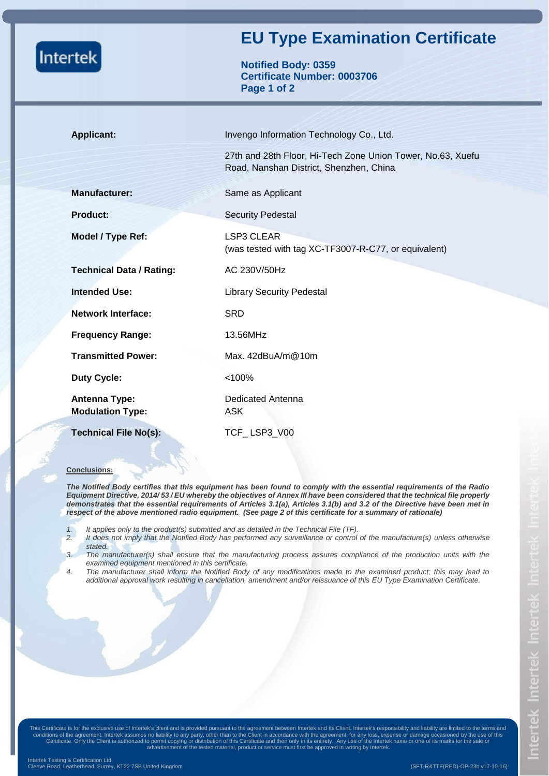|                                          | <b>EU Type Examination Certificate</b>                                                                 |  |  |  |
|------------------------------------------|--------------------------------------------------------------------------------------------------------|--|--|--|
| <b>Intertek</b>                          | <b>Notified Body: 0359</b><br><b>Certificate Number: 0003706</b><br>Page 1 of 2                        |  |  |  |
| <b>Applicant:</b>                        | Invengo Information Technology Co., Ltd.                                                               |  |  |  |
|                                          | 27th and 28th Floor, Hi-Tech Zone Union Tower, No.63, Xuefu<br>Road, Nanshan District, Shenzhen, China |  |  |  |
| <b>Manufacturer:</b>                     | Same as Applicant                                                                                      |  |  |  |
| <b>Product:</b>                          | <b>Security Pedestal</b>                                                                               |  |  |  |
| Model / Type Ref:                        | <b>LSP3 CLEAR</b><br>(was tested with tag XC-TF3007-R-C77, or equivalent)                              |  |  |  |
| <b>Technical Data / Rating:</b>          | AC 230V/50Hz                                                                                           |  |  |  |
| <b>Intended Use:</b>                     | <b>Library Security Pedestal</b>                                                                       |  |  |  |
| <b>Network Interface:</b>                | <b>SRD</b>                                                                                             |  |  |  |
| <b>Frequency Range:</b>                  | 13.56MHz                                                                                               |  |  |  |
| <b>Transmitted Power:</b>                | Max. $42$ dBuA/m $@10$ m                                                                               |  |  |  |
| <b>Duty Cycle:</b>                       | < 100%                                                                                                 |  |  |  |
| Antenna Type:<br><b>Modulation Type:</b> | <b>Dedicated Antenna</b><br><b>ASK</b>                                                                 |  |  |  |
| <b>Technical File No(s):</b>             | TCF_LSP3_V00                                                                                           |  |  |  |

## **Conclusions:**

*The Notified Body certifies that this equipment has been found to comply with the essential requirements of the Radio Equipment Directive, 2014/ 53 / EU whereby the objectives of Annex III have been considered that the technical file properly demonstrates that the essential requirements of Articles 3.1(a), Articles 3.1(b) and 3.2 of the Directive have been met in respect of the above mentioned radio equipment. (See page 2 of this certificate for a summary of rationale)* 

- *1. It applies only to the product(s) submitted and as detailed in the Technical File (TF).*
	- *2. It does not imply that the Notified Body has performed any surveillance or control of the manufacture(s) unless otherwise stated.*
- *3. The manufacturer(s) shall ensure that the manufacturing process assures compliance of the production units with the examined equipment mentioned in this certificate.*
- *4. The manufacturer shall inform the Notified Body of any modifications made to the examined product; this may lead to additional approval work resulting in cancellation, amendment and/or reissuance of this EU Type Examination Certificate.*

This Certificate is for the exclusive use of Intertek's client and is provided pursuant to the agreement between Intertek and its Client. Intertek's responsibility and liability are limited to the terms and<br>conditions of t Certificate. Only the Client is authorized to permit copying or distribution of this Certificate and then only in its entirety. Any use of the Intertek name or one of its marks for the sale or advertisement of the tested material, product or service must first be approved in writing by Intertek